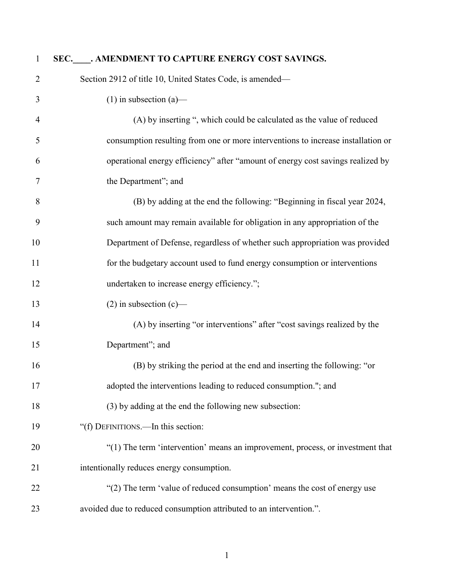| $\mathbf{1}$   | SEC. AMENDMENT TO CAPTURE ENERGY COST SAVINGS.                                   |
|----------------|----------------------------------------------------------------------------------|
| 2              | Section 2912 of title 10, United States Code, is amended—                        |
| 3              | $(1)$ in subsection $(a)$ —                                                      |
| $\overline{4}$ | (A) by inserting ", which could be calculated as the value of reduced            |
| 5              | consumption resulting from one or more interventions to increase installation or |
| 6              | operational energy efficiency" after "amount of energy cost savings realized by  |
| 7              | the Department"; and                                                             |
| 8              | (B) by adding at the end the following: "Beginning in fiscal year 2024,          |
| 9              | such amount may remain available for obligation in any appropriation of the      |
| 10             | Department of Defense, regardless of whether such appropriation was provided     |
| 11             | for the budgetary account used to fund energy consumption or interventions       |
| 12             | undertaken to increase energy efficiency.";                                      |
| 13             | $(2)$ in subsection $(c)$ —                                                      |
| 14             | (A) by inserting "or interventions" after "cost savings realized by the          |
| 15             | Department"; and                                                                 |
| 16             | (B) by striking the period at the end and inserting the following: "or           |
| 17             | adopted the interventions leading to reduced consumption."; and                  |
| 18             | (3) by adding at the end the following new subsection:                           |
| 19             | "(f) DEFINITIONS.—In this section:                                               |
| 20             | "(1) The term 'intervention' means an improvement, process, or investment that   |
| 21             | intentionally reduces energy consumption.                                        |
| 22             | "(2) The term 'value of reduced consumption' means the cost of energy use        |
| 23             | avoided due to reduced consumption attributed to an intervention.".              |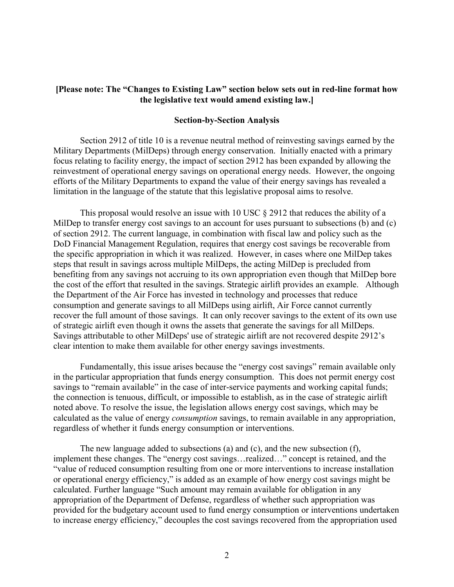## **[Please note: The "Changes to Existing Law" section below sets out in red-line format how the legislative text would amend existing law.]**

### **Section-by-Section Analysis**

Section 2912 of title 10 is a revenue neutral method of reinvesting savings earned by the Military Departments (MilDeps) through energy conservation. Initially enacted with a primary focus relating to facility energy, the impact of section 2912 has been expanded by allowing the reinvestment of operational energy savings on operational energy needs. However, the ongoing efforts of the Military Departments to expand the value of their energy savings has revealed a limitation in the language of the statute that this legislative proposal aims to resolve.

This proposal would resolve an issue with 10 USC  $\S$  2912 that reduces the ability of a MilDep to transfer energy cost savings to an account for uses pursuant to subsections (b) and (c) of section 2912. The current language, in combination with fiscal law and policy such as the DoD Financial Management Regulation, requires that energy cost savings be recoverable from the specific appropriation in which it was realized. However, in cases where one MilDep takes steps that result in savings across multiple MilDeps, the acting MilDep is precluded from benefiting from any savings not accruing to its own appropriation even though that MilDep bore the cost of the effort that resulted in the savings. Strategic airlift provides an example. Although the Department of the Air Force has invested in technology and processes that reduce consumption and generate savings to all MilDeps using airlift, Air Force cannot currently recover the full amount of those savings. It can only recover savings to the extent of its own use of strategic airlift even though it owns the assets that generate the savings for all MilDeps. Savings attributable to other MilDeps' use of strategic airlift are not recovered despite 2912's clear intention to make them available for other energy savings investments.

Fundamentally, this issue arises because the "energy cost savings" remain available only in the particular appropriation that funds energy consumption. This does not permit energy cost savings to "remain available" in the case of inter-service payments and working capital funds; the connection is tenuous, difficult, or impossible to establish, as in the case of strategic airlift noted above. To resolve the issue, the legislation allows energy cost savings, which may be calculated as the value of energy *consumption* savings, to remain available in any appropriation, regardless of whether it funds energy consumption or interventions.

The new language added to subsections (a) and (c), and the new subsection (f), implement these changes. The "energy cost savings…realized…" concept is retained, and the "value of reduced consumption resulting from one or more interventions to increase installation or operational energy efficiency," is added as an example of how energy cost savings might be calculated. Further language "Such amount may remain available for obligation in any appropriation of the Department of Defense, regardless of whether such appropriation was provided for the budgetary account used to fund energy consumption or interventions undertaken to increase energy efficiency," decouples the cost savings recovered from the appropriation used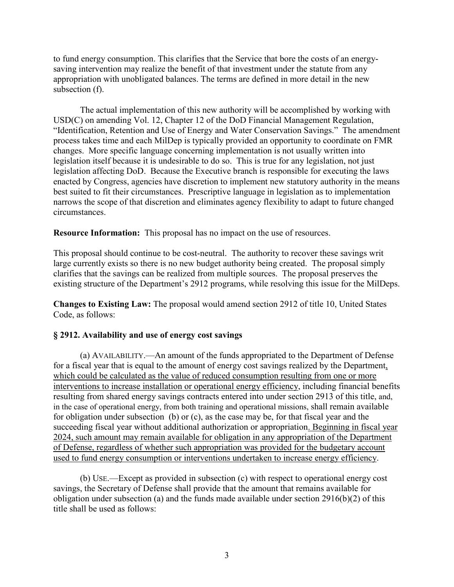to fund energy consumption. This clarifies that the Service that bore the costs of an energysaving intervention may realize the benefit of that investment under the statute from any appropriation with unobligated balances. The terms are defined in more detail in the new subsection (f).

The actual implementation of this new authority will be accomplished by working with USD(C) on amending Vol. 12, Chapter 12 of the DoD Financial Management Regulation, "Identification, Retention and Use of Energy and Water Conservation Savings." The amendment process takes time and each MilDep is typically provided an opportunity to coordinate on FMR changes. More specific language concerning implementation is not usually written into legislation itself because it is undesirable to do so. This is true for any legislation, not just legislation affecting DoD. Because the Executive branch is responsible for executing the laws enacted by Congress, agencies have discretion to implement new statutory authority in the means best suited to fit their circumstances. Prescriptive language in legislation as to implementation narrows the scope of that discretion and eliminates agency flexibility to adapt to future changed circumstances.

**Resource Information:** This proposal has no impact on the use of resources.

This proposal should continue to be cost-neutral. The authority to recover these savings writ large currently exists so there is no new budget authority being created. The proposal simply clarifies that the savings can be realized from multiple sources. The proposal preserves the existing structure of the Department's 2912 programs, while resolving this issue for the MilDeps.

**Changes to Existing Law:** The proposal would amend section 2912 of title 10, United States Code, as follows:

## **§ 2912. Availability and use of energy cost savings**

(a) AVAILABILITY.—An amount of the funds appropriated to the Department of Defense for a fiscal year that is equal to the amount of energy cost savings realized by the Department, which could be calculated as the value of reduced consumption resulting from one or more interventions to increase installation or operational energy efficiency, including financial benefits resulting from shared energy savings contracts entered into under section 2913 of this title, and, in the case of operational energy, from both training and operational missions, shall remain available for obligation under subsection (b) or (c), as the case may be, for that fiscal year and the succeeding fiscal year without additional authorization or appropriation. Beginning in fiscal year 2024, such amount may remain available for obligation in any appropriation of the Department of Defense, regardless of whether such appropriation was provided for the budgetary account used to fund energy consumption or interventions undertaken to increase energy efficiency.

(b) USE.—Except as provided in subsection (c) with respect to operational energy cost savings, the Secretary of Defense shall provide that the amount that remains available for obligation under subsection (a) and the funds made available under section 2916(b)(2) of this title shall be used as follows: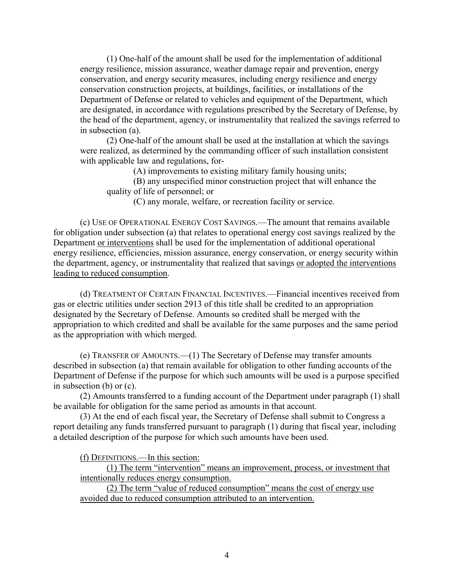(1) One-half of the amount shall be used for the implementation of additional energy resilience, mission assurance, weather damage repair and prevention, energy conservation, and energy security measures, including energy resilience and energy conservation construction projects, at buildings, facilities, or installations of the Department of Defense or related to vehicles and equipment of the Department, which are designated, in accordance with regulations prescribed by the Secretary of Defense, by the head of the department, agency, or instrumentality that realized the savings referred to in subsection (a).

(2) One-half of the amount shall be used at the installation at which the savings were realized, as determined by the commanding officer of such installation consistent with applicable law and regulations, for-

(A) improvements to existing military family housing units;

(B) any unspecified minor construction project that will enhance the quality of life of personnel; or

(C) any morale, welfare, or recreation facility or service.

(c) USE OF OPERATIONAL ENERGY COST SAVINGS.—The amount that remains available for obligation under subsection (a) that relates to operational energy cost savings realized by the Department or interventions shall be used for the implementation of additional operational energy resilience, efficiencies, mission assurance, energy conservation, or energy security within the department, agency, or instrumentality that realized that savings or adopted the interventions leading to reduced consumption.

(d) TREATMENT OF CERTAIN FINANCIAL INCENTIVES.—Financial incentives received from gas or electric utilities under section 2913 of this title shall be credited to an appropriation designated by the Secretary of Defense. Amounts so credited shall be merged with the appropriation to which credited and shall be available for the same purposes and the same period as the appropriation with which merged.

(e) TRANSFER OF AMOUNTS.—(1) The Secretary of Defense may transfer amounts described in subsection (a) that remain available for obligation to other funding accounts of the Department of Defense if the purpose for which such amounts will be used is a purpose specified in subsection (b) or (c).

(2) Amounts transferred to a funding account of the Department under paragraph (1) shall be available for obligation for the same period as amounts in that account.

(3) At the end of each fiscal year, the Secretary of Defense shall submit to Congress a report detailing any funds transferred pursuant to paragraph (1) during that fiscal year, including a detailed description of the purpose for which such amounts have been used.

(f) DEFINITIONS.—In this section:

(1) The term "intervention" means an improvement, process, or investment that intentionally reduces energy consumption.

(2) The term "value of reduced consumption" means the cost of energy use avoided due to reduced consumption attributed to an intervention.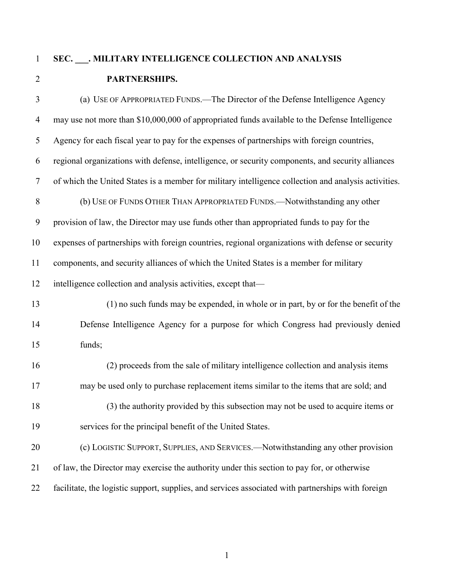# **SEC. \_\_\_. MILITARY INTELLIGENCE COLLECTION AND ANALYSIS PARTNERSHIPS.**

 (a) USE OF APPROPRIATED FUNDS.—The Director of the Defense Intelligence Agency may use not more than \$10,000,000 of appropriated funds available to the Defense Intelligence Agency for each fiscal year to pay for the expenses of partnerships with foreign countries, regional organizations with defense, intelligence, or security components, and security alliances of which the United States is a member for military intelligence collection and analysis activities. 8 (b) USE OF FUNDS OTHER THAN APPROPRIATED FUNDS.—Notwithstanding any other provision of law, the Director may use funds other than appropriated funds to pay for the expenses of partnerships with foreign countries, regional organizations with defense or security components, and security alliances of which the United States is a member for military 12 intelligence collection and analysis activities, except that— (1) no such funds may be expended, in whole or in part, by or for the benefit of the Defense Intelligence Agency for a purpose for which Congress had previously denied funds; (2) proceeds from the sale of military intelligence collection and analysis items may be used only to purchase replacement items similar to the items that are sold; and (3) the authority provided by this subsection may not be used to acquire items or services for the principal benefit of the United States. (c) LOGISTIC SUPPORT, SUPPLIES, AND SERVICES.—Notwithstanding any other provision of law, the Director may exercise the authority under this section to pay for, or otherwise facilitate, the logistic support, supplies, and services associated with partnerships with foreign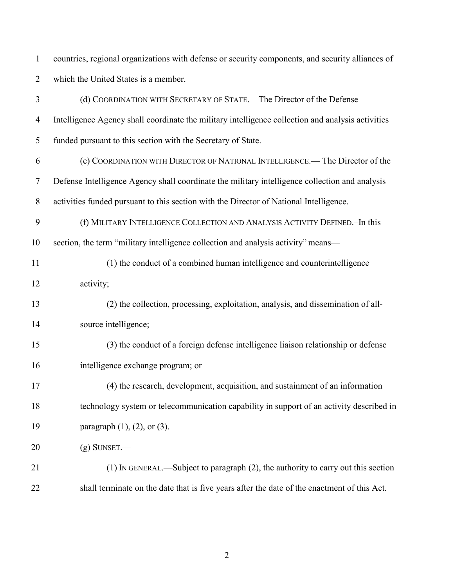countries, regional organizations with defense or security components, and security alliances of which the United States is a member.

| $\mathfrak{Z}$ | (d) COORDINATION WITH SECRETARY OF STATE.—The Director of the Defense                             |
|----------------|---------------------------------------------------------------------------------------------------|
| $\overline{4}$ | Intelligence Agency shall coordinate the military intelligence collection and analysis activities |
| 5              | funded pursuant to this section with the Secretary of State.                                      |
| 6              | (e) COORDINATION WITH DIRECTOR OF NATIONAL INTELLIGENCE.— The Director of the                     |
| 7              | Defense Intelligence Agency shall coordinate the military intelligence collection and analysis    |
| $8\,$          | activities funded pursuant to this section with the Director of National Intelligence.            |
| 9              | (f) MILITARY INTELLIGENCE COLLECTION AND ANALYSIS ACTIVITY DEFINED.-In this                       |
| 10             | section, the term "military intelligence collection and analysis activity" means—                 |
| 11             | (1) the conduct of a combined human intelligence and counterintelligence                          |
| 12             | activity;                                                                                         |
| 13             | (2) the collection, processing, exploitation, analysis, and dissemination of all-                 |
| 14             | source intelligence;                                                                              |
| 15             | (3) the conduct of a foreign defense intelligence liaison relationship or defense                 |
| 16             | intelligence exchange program; or                                                                 |
| 17             | (4) the research, development, acquisition, and sustainment of an information                     |
| 18             | technology system or telecommunication capability in support of an activity described in          |
| 19             | paragraph $(1)$ , $(2)$ , or $(3)$ .                                                              |
| 20             | $(g)$ SUNSET.—                                                                                    |
| 21             | (1) IN GENERAL.—Subject to paragraph (2), the authority to carry out this section                 |
| 22             | shall terminate on the date that is five years after the date of the enactment of this Act.       |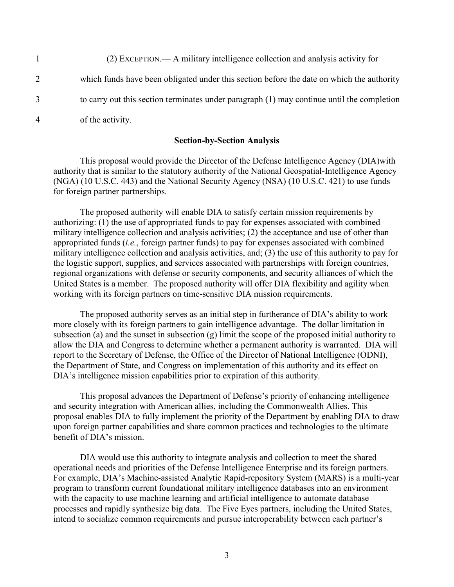|   | (2) EXCEPTION.— A military intelligence collection and analysis activity for                 |
|---|----------------------------------------------------------------------------------------------|
| 2 | which funds have been obligated under this section before the date on which the authority    |
|   | to carry out this section terminates under paragraph $(1)$ may continue until the completion |
| 4 | of the activity.                                                                             |

#### **Section-by-Section Analysis**

This proposal would provide the Director of the Defense Intelligence Agency (DIA)with authority that is similar to the statutory authority of the National Geospatial-Intelligence Agency (NGA) (10 U.S.C. 443) and the National Security Agency (NSA) (10 U.S.C. 421) to use funds for foreign partner partnerships.

The proposed authority will enable DIA to satisfy certain mission requirements by authorizing: (1) the use of appropriated funds to pay for expenses associated with combined military intelligence collection and analysis activities; (2) the acceptance and use of other than appropriated funds (*i.e.*, foreign partner funds) to pay for expenses associated with combined military intelligence collection and analysis activities, and; (3) the use of this authority to pay for the logistic support, supplies, and services associated with partnerships with foreign countries, regional organizations with defense or security components, and security alliances of which the United States is a member. The proposed authority will offer DIA flexibility and agility when working with its foreign partners on time-sensitive DIA mission requirements.

The proposed authority serves as an initial step in furtherance of DIA's ability to work more closely with its foreign partners to gain intelligence advantage. The dollar limitation in subsection (a) and the sunset in subsection (g) limit the scope of the proposed initial authority to allow the DIA and Congress to determine whether a permanent authority is warranted. DIA will report to the Secretary of Defense, the Office of the Director of National Intelligence (ODNI), the Department of State, and Congress on implementation of this authority and its effect on DIA's intelligence mission capabilities prior to expiration of this authority.

This proposal advances the Department of Defense's priority of enhancing intelligence and security integration with American allies, including the Commonwealth Allies. This proposal enables DIA to fully implement the priority of the Department by enabling DIA to draw upon foreign partner capabilities and share common practices and technologies to the ultimate benefit of DIA's mission.

DIA would use this authority to integrate analysis and collection to meet the shared operational needs and priorities of the Defense Intelligence Enterprise and its foreign partners. For example, DIA's Machine-assisted Analytic Rapid-repository System (MARS) is a multi-year program to transform current foundational military intelligence databases into an environment with the capacity to use machine learning and artificial intelligence to automate database processes and rapidly synthesize big data. The Five Eyes partners, including the United States, intend to socialize common requirements and pursue interoperability between each partner's